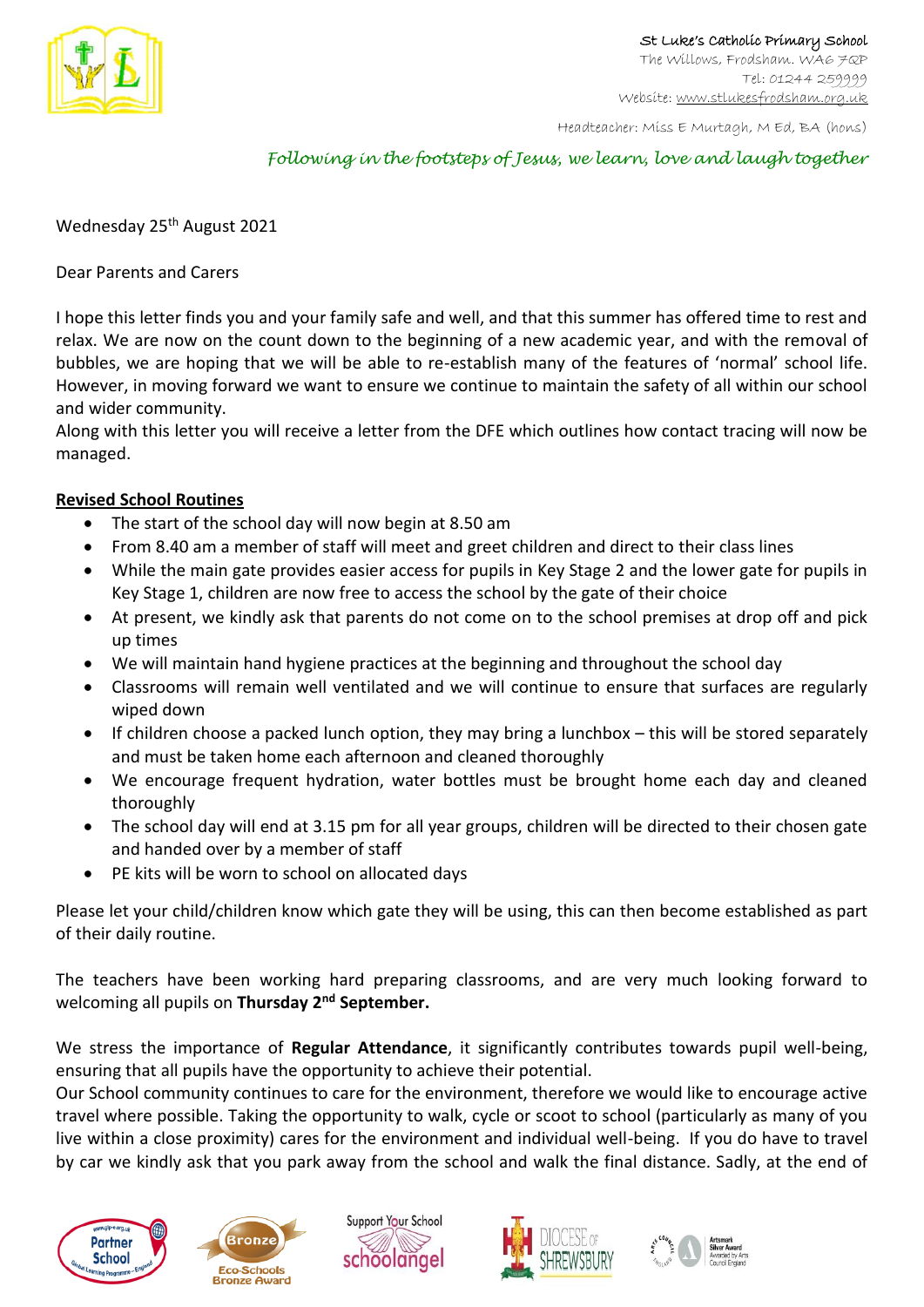

Headteacher: Miss E Murtagh, M Ed, BA (hons)

## *Following in the footsteps of Jesus, we learn, love and laugh together*

Wednesday 25<sup>th</sup> August 2021

Dear Parents and Carers

I hope this letter finds you and your family safe and well, and that this summer has offered time to rest and relax. We are now on the count down to the beginning of a new academic year, and with the removal of bubbles, we are hoping that we will be able to re-establish many of the features of 'normal' school life. However, in moving forward we want to ensure we continue to maintain the safety of all within our school and wider community.

Along with this letter you will receive a letter from the DFE which outlines how contact tracing will now be managed.

## **Revised School Routines**

- The start of the school day will now begin at 8.50 am
- From 8.40 am a member of staff will meet and greet children and direct to their class lines
- While the main gate provides easier access for pupils in Key Stage 2 and the lower gate for pupils in Key Stage 1, children are now free to access the school by the gate of their choice
- At present, we kindly ask that parents do not come on to the school premises at drop off and pick up times
- We will maintain hand hygiene practices at the beginning and throughout the school day
- Classrooms will remain well ventilated and we will continue to ensure that surfaces are regularly wiped down
- If children choose a packed lunch option, they may bring a lunchbox this will be stored separately and must be taken home each afternoon and cleaned thoroughly
- We encourage frequent hydration, water bottles must be brought home each day and cleaned thoroughly
- The school day will end at 3.15 pm for all year groups, children will be directed to their chosen gate and handed over by a member of staff
- PE kits will be worn to school on allocated days

Please let your child/children know which gate they will be using, this can then become established as part of their daily routine.

The teachers have been working hard preparing classrooms, and are very much looking forward to welcoming all pupils on **Thursday 2nd September.** 

We stress the importance of **Regular Attendance**, it significantly contributes towards pupil well-being, ensuring that all pupils have the opportunity to achieve their potential.

Our School community continues to care for the environment, therefore we would like to encourage active travel where possible. Taking the opportunity to walk, cycle or scoot to school (particularly as many of you live within a close proximity) cares for the environment and individual well-being. If you do have to travel by car we kindly ask that you park away from the school and walk the final distance. Sadly, at the end of